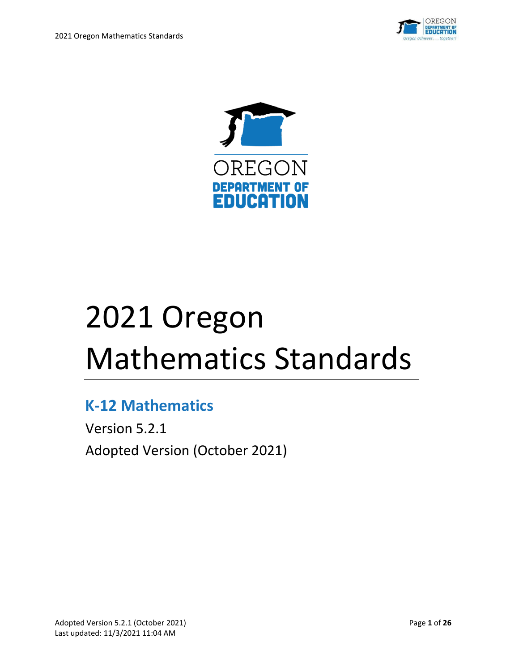



# 2021 Oregon Mathematics Standards

# **K-12 Mathematics**

Version 5.2.1 Adopted Version (October 2021)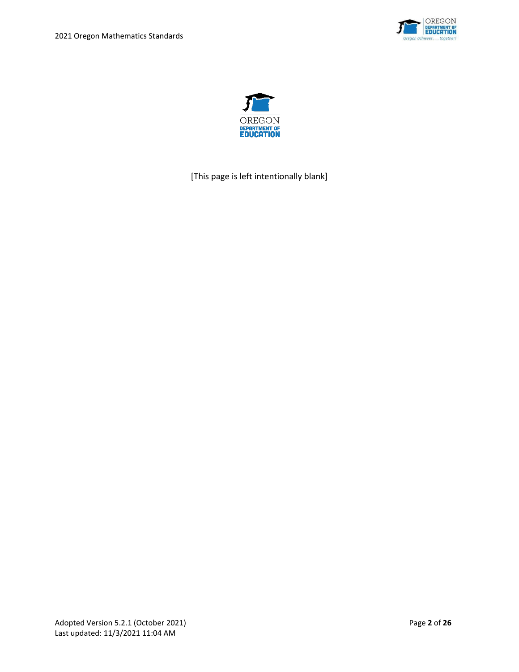



[This page is left intentionally blank]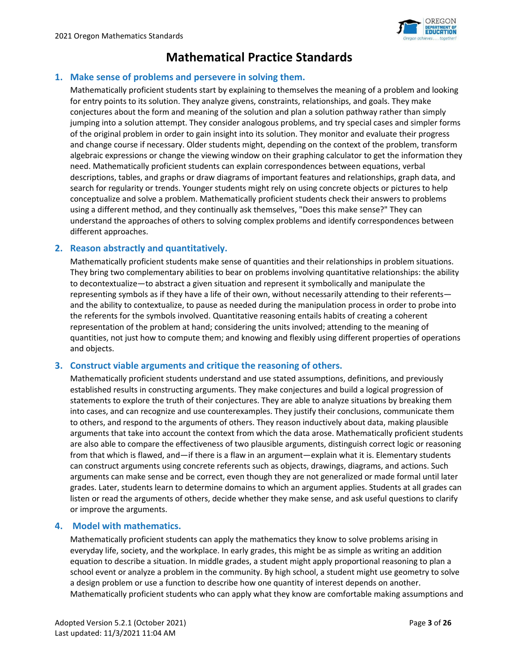

# **Mathematical Practice Standards**

# **1. Make sense of problems and persevere in solving them.**

Mathematically proficient students start by explaining to themselves the meaning of a problem and looking for entry points to its solution. They analyze givens, constraints, relationships, and goals. They make conjectures about the form and meaning of the solution and plan a solution pathway rather than simply jumping into a solution attempt. They consider analogous problems, and try special cases and simpler forms of the original problem in order to gain insight into its solution. They monitor and evaluate their progress and change course if necessary. Older students might, depending on the context of the problem, transform algebraic expressions or change the viewing window on their graphing calculator to get the information they need. Mathematically proficient students can explain correspondences between equations, verbal descriptions, tables, and graphs or draw diagrams of important features and relationships, graph data, and search for regularity or trends. Younger students might rely on using concrete objects or pictures to help conceptualize and solve a problem. Mathematically proficient students check their answers to problems using a different method, and they continually ask themselves, "Does this make sense?" They can understand the approaches of others to solving complex problems and identify correspondences between different approaches.

# **2. Reason abstractly and quantitatively.**

Mathematically proficient students make sense of quantities and their relationships in problem situations. They bring two complementary abilities to bear on problems involving quantitative relationships: the ability to decontextualize—to abstract a given situation and represent it symbolically and manipulate the representing symbols as if they have a life of their own, without necessarily attending to their referents and the ability to contextualize, to pause as needed during the manipulation process in order to probe into the referents for the symbols involved. Quantitative reasoning entails habits of creating a coherent representation of the problem at hand; considering the units involved; attending to the meaning of quantities, not just how to compute them; and knowing and flexibly using different properties of operations and objects.

# **3. Construct viable arguments and critique the reasoning of others.**

Mathematically proficient students understand and use stated assumptions, definitions, and previously established results in constructing arguments. They make conjectures and build a logical progression of statements to explore the truth of their conjectures. They are able to analyze situations by breaking them into cases, and can recognize and use counterexamples. They justify their conclusions, communicate them to others, and respond to the arguments of others. They reason inductively about data, making plausible arguments that take into account the context from which the data arose. Mathematically proficient students are also able to compare the effectiveness of two plausible arguments, distinguish correct logic or reasoning from that which is flawed, and—if there is a flaw in an argument—explain what it is. Elementary students can construct arguments using concrete referents such as objects, drawings, diagrams, and actions. Such arguments can make sense and be correct, even though they are not generalized or made formal until later grades. Later, students learn to determine domains to which an argument applies. Students at all grades can listen or read the arguments of others, decide whether they make sense, and ask useful questions to clarify or improve the arguments.

# **4. Model with mathematics.**

Mathematically proficient students can apply the mathematics they know to solve problems arising in everyday life, society, and the workplace. In early grades, this might be as simple as writing an addition equation to describe a situation. In middle grades, a student might apply proportional reasoning to plan a school event or analyze a problem in the community. By high school, a student might use geometry to solve a design problem or use a function to describe how one quantity of interest depends on another. Mathematically proficient students who can apply what they know are comfortable making assumptions and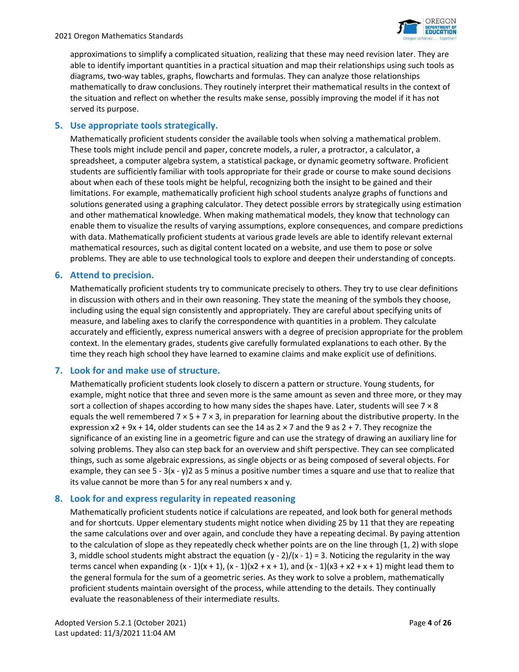

approximations to simplify a complicated situation, realizing that these may need revision later. They are able to identify important quantities in a practical situation and map their relationships using such tools as diagrams, two-way tables, graphs, flowcharts and formulas. They can analyze those relationships mathematically to draw conclusions. They routinely interpret their mathematical results in the context of the situation and reflect on whether the results make sense, possibly improving the model if it has not served its purpose.

# **5. Use appropriate tools strategically.**

Mathematically proficient students consider the available tools when solving a mathematical problem. These tools might include pencil and paper, concrete models, a ruler, a protractor, a calculator, a spreadsheet, a computer algebra system, a statistical package, or dynamic geometry software. Proficient students are sufficiently familiar with tools appropriate for their grade or course to make sound decisions about when each of these tools might be helpful, recognizing both the insight to be gained and their limitations. For example, mathematically proficient high school students analyze graphs of functions and solutions generated using a graphing calculator. They detect possible errors by strategically using estimation and other mathematical knowledge. When making mathematical models, they know that technology can enable them to visualize the results of varying assumptions, explore consequences, and compare predictions with data. Mathematically proficient students at various grade levels are able to identify relevant external mathematical resources, such as digital content located on a website, and use them to pose or solve problems. They are able to use technological tools to explore and deepen their understanding of concepts.

# **6. Attend to precision.**

Mathematically proficient students try to communicate precisely to others. They try to use clear definitions in discussion with others and in their own reasoning. They state the meaning of the symbols they choose, including using the equal sign consistently and appropriately. They are careful about specifying units of measure, and labeling axes to clarify the correspondence with quantities in a problem. They calculate accurately and efficiently, express numerical answers with a degree of precision appropriate for the problem context. In the elementary grades, students give carefully formulated explanations to each other. By the time they reach high school they have learned to examine claims and make explicit use of definitions.

# **7. Look for and make use of structure.**

Mathematically proficient students look closely to discern a pattern or structure. Young students, for example, might notice that three and seven more is the same amount as seven and three more, or they may sort a collection of shapes according to how many sides the shapes have. Later, students will see  $7 \times 8$ equals the well remembered  $7 \times 5 + 7 \times 3$ , in preparation for learning about the distributive property. In the expression  $x^2 + 9x + 14$ , older students can see the 14 as  $2 \times 7$  and the 9 as  $2 + 7$ . They recognize the significance of an existing line in a geometric figure and can use the strategy of drawing an auxiliary line for solving problems. They also can step back for an overview and shift perspective. They can see complicated things, such as some algebraic expressions, as single objects or as being composed of several objects. For example, they can see  $5 - 3(x - y)2$  as 5 minus a positive number times a square and use that to realize that its value cannot be more than 5 for any real numbers x and y.

# **8. Look for and express regularity in repeated reasoning**

Mathematically proficient students notice if calculations are repeated, and look both for general methods and for shortcuts. Upper elementary students might notice when dividing 25 by 11 that they are repeating the same calculations over and over again, and conclude they have a repeating decimal. By paying attention to the calculation of slope as they repeatedly check whether points are on the line through (1, 2) with slope 3, middle school students might abstract the equation  $(y - 2)/(x - 1) = 3$ . Noticing the regularity in the way terms cancel when expanding  $(x - 1)(x + 1)$ ,  $(x - 1)(x^2 + x + 1)$ , and  $(x - 1)(x^3 + x^2 + x + 1)$  might lead them to the general formula for the sum of a geometric series. As they work to solve a problem, mathematically proficient students maintain oversight of the process, while attending to the details. They continually evaluate the reasonableness of their intermediate results.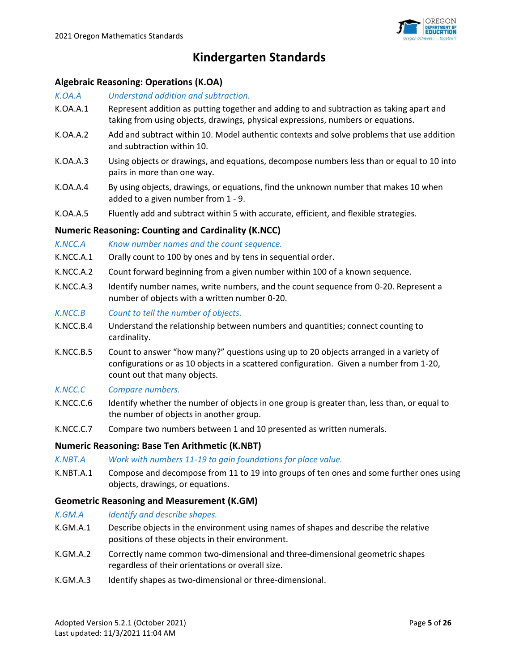

# **Kindergarten Standards**

# **Algebraic Reasoning: Operations (K.OA)**

- *K.OA.A Understand addition and subtraction.*
- K.OA.A.1 Represent addition as putting together and adding to and subtraction as taking apart and taking from using objects, drawings, physical expressions, numbers or equations.
- K.OA.A.2 Add and subtract within 10. Model authentic contexts and solve problems that use addition and subtraction within 10.
- K.OA.A.3 Using objects or drawings, and equations, decompose numbers less than or equal to 10 into pairs in more than one way.
- K.OA.A.4 By using objects, drawings, or equations, find the unknown number that makes 10 when added to a given number from 1 - 9.
- K.OA.A.5 Fluently add and subtract within 5 with accurate, efficient, and flexible strategies.

# **Numeric Reasoning: Counting and Cardinality (K.NCC)**

*K.NCC.A Know number names and the count sequence.*

- K.NCC.A.1 Orally count to 100 by ones and by tens in sequential order.
- K.NCC.A.2 Count forward beginning from a given number within 100 of a known sequence.
- K.NCC.A.3 Identify number names, write numbers, and the count sequence from 0-20. Represent a number of objects with a written number 0-20.
- *K.NCC.B Count to tell the number of objects.*
- K.NCC.B.4 Understand the relationship between numbers and quantities; connect counting to cardinality.
- K.NCC.B.5 Count to answer "how many?" questions using up to 20 objects arranged in a variety of configurations or as 10 objects in a scattered configuration. Given a number from 1-20, count out that many objects.

#### *K.NCC.C Compare numbers.*

- K.NCC.C.6 Identify whether the number of objects in one group is greater than, less than, or equal to the number of objects in another group.
- K.NCC.C.7 Compare two numbers between 1 and 10 presented as written numerals.

# **Numeric Reasoning: Base Ten Arithmetic (K.NBT)**

- *K.NBT.A Work with numbers 11-19 to gain foundations for place value.*
- K.NBT.A.1 Compose and decompose from 11 to 19 into groups of ten ones and some further ones using objects, drawings, or equations.

# **Geometric Reasoning and Measurement (K.GM)**

- *K.GM.A Identify and describe shapes.*
- K.GM.A.1 Describe objects in the environment using names of shapes and describe the relative positions of these objects in their environment.
- K.GM.A.2 Correctly name common two-dimensional and three-dimensional geometric shapes regardless of their orientations or overall size.
- K.GM.A.3 Identify shapes as two-dimensional or three-dimensional.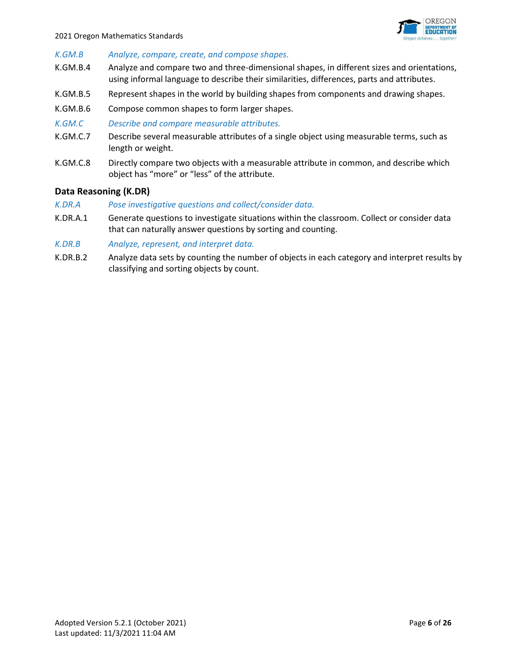

*K.GM.B Analyze, compare, create, and compose shapes.*

- K.GM.B.4 Analyze and compare two and three-dimensional shapes, in different sizes and orientations, using informal language to describe their similarities, differences, parts and attributes.
- K.GM.B.5 Represent shapes in the world by building shapes from components and drawing shapes.
- K.GM.B.6 Compose common shapes to form larger shapes.
- *K.GM.C Describe and compare measurable attributes.*
- K.GM.C.7 Describe several measurable attributes of a single object using measurable terms, such as length or weight.
- K.GM.C.8 Directly compare two objects with a measurable attribute in common, and describe which object has "more" or "less" of the attribute.

# **Data Reasoning (K.DR)**

- *K.DR.A Pose investigative questions and collect/consider data.*
- K.DR.A.1 Generate questions to investigate situations within the classroom. Collect or consider data that can naturally answer questions by sorting and counting.
- *K.DR.B Analyze, represent, and interpret data.*
- K.DR.B.2 Analyze data sets by counting the number of objects in each category and interpret results by classifying and sorting objects by count.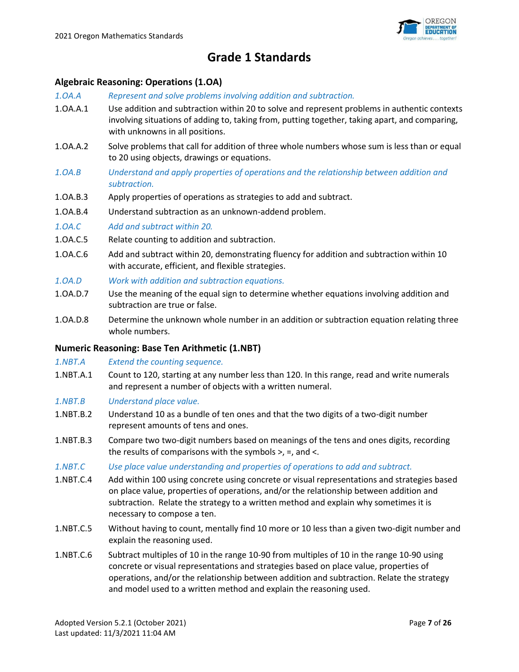

# **Grade 1 Standards**

# **Algebraic Reasoning: Operations (1.OA)**

- *1.OA.A Represent and solve problems involving addition and subtraction.*
- 1.OA.A.1 Use addition and subtraction within 20 to solve and represent problems in authentic contexts involving situations of adding to, taking from, putting together, taking apart, and comparing, with unknowns in all positions.
- 1.OA.A.2 Solve problems that call for addition of three whole numbers whose sum is less than or equal to 20 using objects, drawings or equations.
- *1.OA.B Understand and apply properties of operations and the relationship between addition and subtraction.*
- 1.OA.B.3 Apply properties of operations as strategies to add and subtract.
- 1.OA.B.4 Understand subtraction as an unknown-addend problem.
- *1.OA.C Add and subtract within 20.*
- 1.OA.C.5 Relate counting to addition and subtraction.
- 1.OA.C.6 Add and subtract within 20, demonstrating fluency for addition and subtraction within 10 with accurate, efficient, and flexible strategies.
- *1.OA.D Work with addition and subtraction equations.*
- 1.OA.D.7 Use the meaning of the equal sign to determine whether equations involving addition and subtraction are true or false.
- 1.OA.D.8 Determine the unknown whole number in an addition or subtraction equation relating three whole numbers.

#### **Numeric Reasoning: Base Ten Arithmetic (1.NBT)**

- *1.NBT.A Extend the counting sequence.*
- 1.NBT.A.1 Count to 120, starting at any number less than 120. In this range, read and write numerals and represent a number of objects with a written numeral.
- *1.NBT.B Understand place value.*
- 1.NBT.B.2 Understand 10 as a bundle of ten ones and that the two digits of a two-digit number represent amounts of tens and ones.
- 1.NBT.B.3 Compare two two-digit numbers based on meanings of the tens and ones digits, recording the results of comparisons with the symbols >, =, and <.
- *1.NBT.C Use place value understanding and properties of operations to add and subtract.*
- 1.NBT.C.4 Add within 100 using concrete using concrete or visual representations and strategies based on place value, properties of operations, and/or the relationship between addition and subtraction. Relate the strategy to a written method and explain why sometimes it is necessary to compose a ten.
- 1.NBT.C.5 Without having to count, mentally find 10 more or 10 less than a given two-digit number and explain the reasoning used.
- 1.NBT.C.6 Subtract multiples of 10 in the range 10-90 from multiples of 10 in the range 10-90 using concrete or visual representations and strategies based on place value, properties of operations, and/or the relationship between addition and subtraction. Relate the strategy and model used to a written method and explain the reasoning used.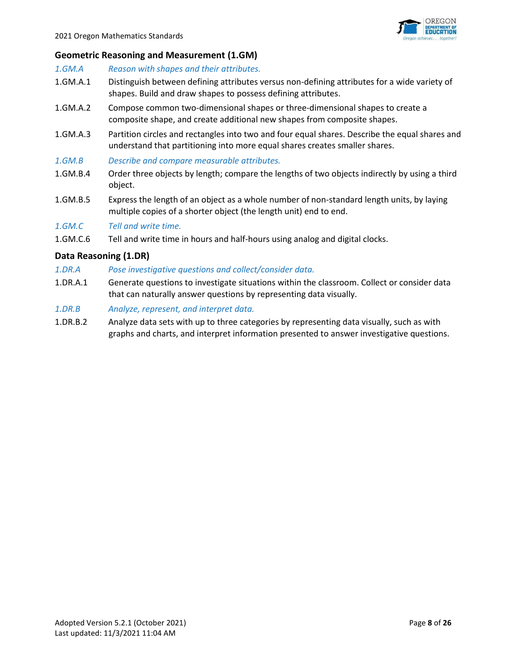

# **Geometric Reasoning and Measurement (1.GM)**

#### *1.GM.A Reason with shapes and their attributes.*

- 1.GM.A.1 Distinguish between defining attributes versus non-defining attributes for a wide variety of shapes. Build and draw shapes to possess defining attributes.
- 1.GM.A.2 Compose common two-dimensional shapes or three-dimensional shapes to create a composite shape, and create additional new shapes from composite shapes.
- 1.GM.A.3 Partition circles and rectangles into two and four equal shares. Describe the equal shares and understand that partitioning into more equal shares creates smaller shares.
- *1.GM.B Describe and compare measurable attributes.*
- 1.GM.B.4 Order three objects by length; compare the lengths of two objects indirectly by using a third object.
- 1.GM.B.5 Express the length of an object as a whole number of non-standard length units, by laying multiple copies of a shorter object (the length unit) end to end.

*1.GM.C Tell and write time.*

1.GM.C.6 Tell and write time in hours and half-hours using analog and digital clocks.

# **Data Reasoning (1.DR)**

- *1.DR.A Pose investigative questions and collect/consider data.*
- 1.DR.A.1 Generate questions to investigate situations within the classroom. Collect or consider data that can naturally answer questions by representing data visually.
- *1.DR.B Analyze, represent, and interpret data.*
- 1.DR.B.2 Analyze data sets with up to three categories by representing data visually, such as with graphs and charts, and interpret information presented to answer investigative questions.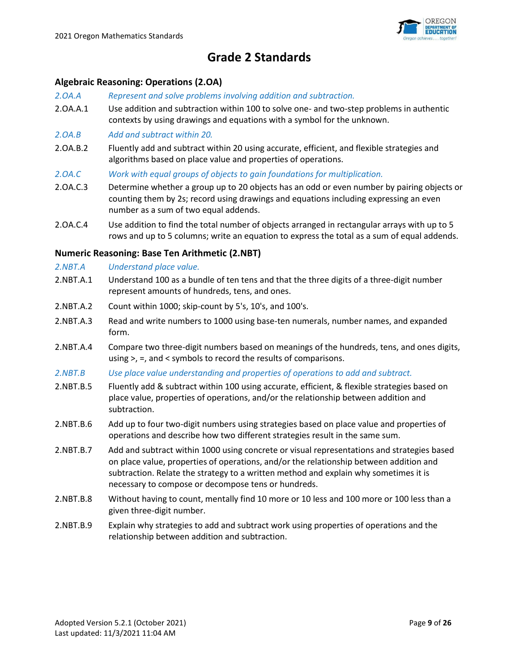

# **Grade 2 Standards**

# **Algebraic Reasoning: Operations (2.OA)**

- *2.OA.A Represent and solve problems involving addition and subtraction.*
- 2.OA.A.1 Use addition and subtraction within 100 to solve one- and two-step problems in authentic contexts by using drawings and equations with a symbol for the unknown.
- *2.OA.B Add and subtract within 20.*
- 2.OA.B.2 Fluently add and subtract within 20 using accurate, efficient, and flexible strategies and algorithms based on place value and properties of operations.
- *2.OA.C Work with equal groups of objects to gain foundations for multiplication.*
- 2.OA.C.3 Determine whether a group up to 20 objects has an odd or even number by pairing objects or counting them by 2s; record using drawings and equations including expressing an even number as a sum of two equal addends.
- 2.OA.C.4 Use addition to find the total number of objects arranged in rectangular arrays with up to 5 rows and up to 5 columns; write an equation to express the total as a sum of equal addends.

#### **Numeric Reasoning: Base Ten Arithmetic (2.NBT)**

- *2.NBT.A Understand place value.*
- 2.NBT.A.1 Understand 100 as a bundle of ten tens and that the three digits of a three-digit number represent amounts of hundreds, tens, and ones.
- 2.NBT.A.2 Count within 1000; skip-count by 5's, 10's, and 100's.
- 2.NBT.A.3 Read and write numbers to 1000 using base-ten numerals, number names, and expanded form.
- 2.NBT.A.4 Compare two three-digit numbers based on meanings of the hundreds, tens, and ones digits, using >, =, and < symbols to record the results of comparisons.
- *2.NBT.B Use place value understanding and properties of operations to add and subtract.*
- 2.NBT.B.5 Fluently add & subtract within 100 using accurate, efficient, & flexible strategies based on place value, properties of operations, and/or the relationship between addition and subtraction.
- 2.NBT.B.6 Add up to four two-digit numbers using strategies based on place value and properties of operations and describe how two different strategies result in the same sum.
- 2.NBT.B.7 Add and subtract within 1000 using concrete or visual representations and strategies based on place value, properties of operations, and/or the relationship between addition and subtraction. Relate the strategy to a written method and explain why sometimes it is necessary to compose or decompose tens or hundreds.
- 2.NBT.B.8 Without having to count, mentally find 10 more or 10 less and 100 more or 100 less than a given three-digit number.
- 2.NBT.B.9 Explain why strategies to add and subtract work using properties of operations and the relationship between addition and subtraction.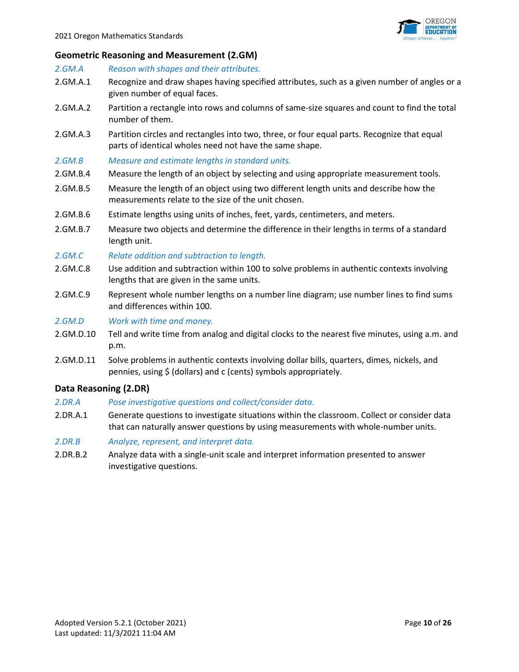

#### **Geometric Reasoning and Measurement (2.GM)**

#### *2.GM.A Reason with shapes and their attributes.*

- 2.GM.A.1 Recognize and draw shapes having specified attributes, such as a given number of angles or a given number of equal faces.
- 2.GM.A.2 Partition a rectangle into rows and columns of same-size squares and count to find the total number of them.
- 2.GM.A.3 Partition circles and rectangles into two, three, or four equal parts. Recognize that equal parts of identical wholes need not have the same shape.
- *2.GM.B Measure and estimate lengths in standard units.*
- 2.GM.B.4 Measure the length of an object by selecting and using appropriate measurement tools.
- 2.GM.B.5 Measure the length of an object using two different length units and describe how the measurements relate to the size of the unit chosen.
- 2.GM.B.6 Estimate lengths using units of inches, feet, yards, centimeters, and meters.
- 2.GM.B.7 Measure two objects and determine the difference in their lengths in terms of a standard length unit.
- *2.GM.C Relate addition and subtraction to length.*
- 2.GM.C.8 Use addition and subtraction within 100 to solve problems in authentic contexts involving lengths that are given in the same units.
- 2.GM.C.9 Represent whole number lengths on a number line diagram; use number lines to find sums and differences within 100.
- *2.GM.D Work with time and money.*
- 2.GM.D.10 Tell and write time from analog and digital clocks to the nearest five minutes, using a.m. and p.m.
- 2.GM.D.11 Solve problems in authentic contexts involving dollar bills, quarters, dimes, nickels, and pennies, using \$ (dollars) and c (cents) symbols appropriately.

# **Data Reasoning (2.DR)**

- *2.DR.A Pose investigative questions and collect/consider data.*
- 2.DR.A.1 Generate questions to investigate situations within the classroom. Collect or consider data that can naturally answer questions by using measurements with whole-number units.
- *2.DR.B Analyze, represent, and interpret data.*
- 2.DR.B.2 Analyze data with a single-unit scale and interpret information presented to answer investigative questions.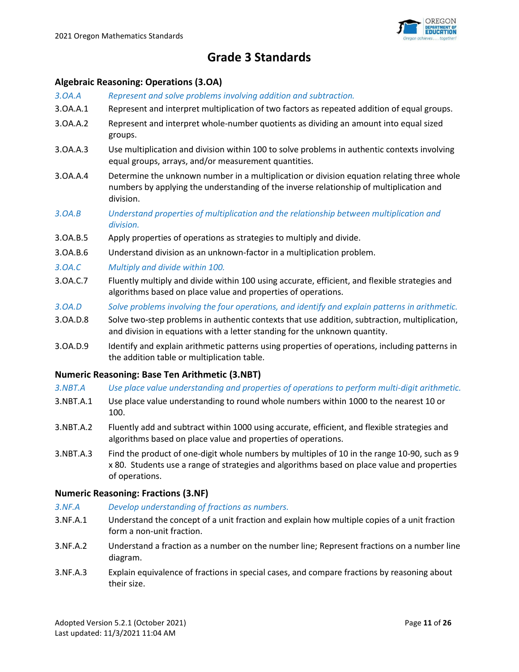

# **Grade 3 Standards**

# **Algebraic Reasoning: Operations (3.OA)**

- *3.OA.A Represent and solve problems involving addition and subtraction.*
- 3.OA.A.1 Represent and interpret multiplication of two factors as repeated addition of equal groups.
- 3.OA.A.2 Represent and interpret whole-number quotients as dividing an amount into equal sized groups.
- 3.OA.A.3 Use multiplication and division within 100 to solve problems in authentic contexts involving equal groups, arrays, and/or measurement quantities.
- 3.OA.A.4 Determine the unknown number in a multiplication or division equation relating three whole numbers by applying the understanding of the inverse relationship of multiplication and division.
- *3.OA.B Understand properties of multiplication and the relationship between multiplication and division.*
- 3.OA.B.5 Apply properties of operations as strategies to multiply and divide.
- 3.OA.B.6 Understand division as an unknown-factor in a multiplication problem.
- *3.OA.C Multiply and divide within 100.*
- 3.OA.C.7 Fluently multiply and divide within 100 using accurate, efficient, and flexible strategies and algorithms based on place value and properties of operations.
- *3.OA.D Solve problems involving the four operations, and identify and explain patterns in arithmetic.*
- 3.OA.D.8 Solve two-step problems in authentic contexts that use addition, subtraction, multiplication, and division in equations with a letter standing for the unknown quantity.
- 3.OA.D.9 Identify and explain arithmetic patterns using properties of operations, including patterns in the addition table or multiplication table.

# **Numeric Reasoning: Base Ten Arithmetic (3.NBT)**

- *3.NBT.A Use place value understanding and properties of operations to perform multi-digit arithmetic.*
- 3.NBT.A.1 Use place value understanding to round whole numbers within 1000 to the nearest 10 or 100.
- 3.NBT.A.2 Fluently add and subtract within 1000 using accurate, efficient, and flexible strategies and algorithms based on place value and properties of operations.
- 3.NBT.A.3 Find the product of one-digit whole numbers by multiples of 10 in the range 10-90, such as 9 x 80. Students use a range of strategies and algorithms based on place value and properties of operations.

# **Numeric Reasoning: Fractions (3.NF)**

# *3.NF.A Develop understanding of fractions as numbers.*

- 3.NF.A.1 Understand the concept of a unit fraction and explain how multiple copies of a unit fraction form a non-unit fraction.
- 3.NF.A.2 Understand a fraction as a number on the number line; Represent fractions on a number line diagram.
- 3.NF.A.3 Explain equivalence of fractions in special cases, and compare fractions by reasoning about their size.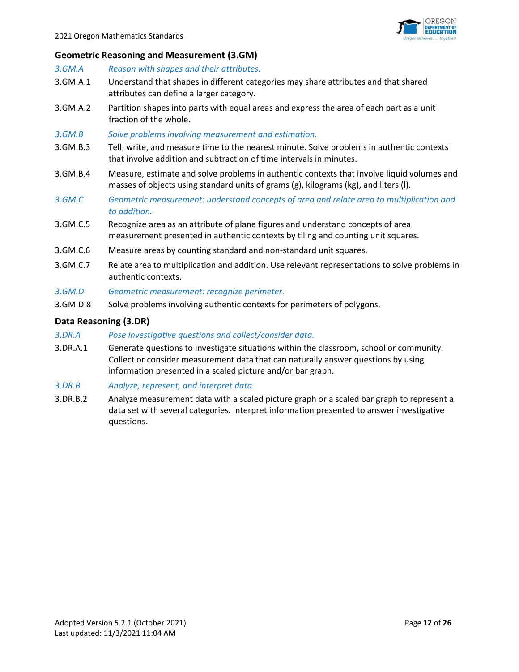

#### **Geometric Reasoning and Measurement (3.GM)**

- *3.GM.A Reason with shapes and their attributes.*
- 3.GM.A.1 Understand that shapes in different categories may share attributes and that shared attributes can define a larger category.
- 3.GM.A.2 Partition shapes into parts with equal areas and express the area of each part as a unit fraction of the whole.
- *3.GM.B Solve problems involving measurement and estimation.*
- 3.GM.B.3 Tell, write, and measure time to the nearest minute. Solve problems in authentic contexts that involve addition and subtraction of time intervals in minutes.
- 3.GM.B.4 Measure, estimate and solve problems in authentic contexts that involve liquid volumes and masses of objects using standard units of grams (g), kilograms (kg), and liters (l).
- *3.GM.C Geometric measurement: understand concepts of area and relate area to multiplication and to addition.*
- 3.GM.C.5 Recognize area as an attribute of plane figures and understand concepts of area measurement presented in authentic contexts by tiling and counting unit squares.
- 3.GM.C.6 Measure areas by counting standard and non-standard unit squares.
- 3.GM.C.7 Relate area to multiplication and addition. Use relevant representations to solve problems in authentic contexts.
- *3.GM.D Geometric measurement: recognize perimeter.*
- 3.GM.D.8 Solve problems involving authentic contexts for perimeters of polygons.

#### **Data Reasoning (3.DR)**

- *3.DR.A Pose investigative questions and collect/consider data.*
- 3.DR.A.1 Generate questions to investigate situations within the classroom, school or community. Collect or consider measurement data that can naturally answer questions by using information presented in a scaled picture and/or bar graph.
- *3.DR.B Analyze, represent, and interpret data.*
- 3.DR.B.2 Analyze measurement data with a scaled picture graph or a scaled bar graph to represent a data set with several categories. Interpret information presented to answer investigative questions.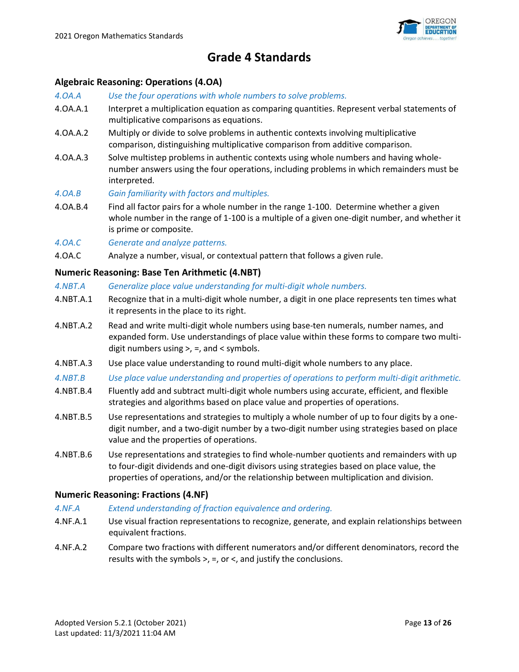

# **Grade 4 Standards**

# **Algebraic Reasoning: Operations (4.OA)**

- *4.OA.A Use the four operations with whole numbers to solve problems.*
- 4.OA.A.1 Interpret a multiplication equation as comparing quantities. Represent verbal statements of multiplicative comparisons as equations.
- 4.OA.A.2 Multiply or divide to solve problems in authentic contexts involving multiplicative comparison, distinguishing multiplicative comparison from additive comparison.
- 4.OA.A.3 Solve multistep problems in authentic contexts using whole numbers and having wholenumber answers using the four operations, including problems in which remainders must be interpreted.

#### *4.OA.B Gain familiarity with factors and multiples.*

- 4.OA.B.4 Find all factor pairs for a whole number in the range 1-100. Determine whether a given whole number in the range of 1-100 is a multiple of a given one-digit number, and whether it is prime or composite.
- *4.OA.C Generate and analyze patterns.*
- 4.OA.C Analyze a number, visual, or contextual pattern that follows a given rule.

# **Numeric Reasoning: Base Ten Arithmetic (4.NBT)**

- *4.NBT.A Generalize place value understanding for multi-digit whole numbers.*
- 4.NBT.A.1 Recognize that in a multi-digit whole number, a digit in one place represents ten times what it represents in the place to its right.
- 4.NBT.A.2 Read and write multi-digit whole numbers using base-ten numerals, number names, and expanded form. Use understandings of place value within these forms to compare two multidigit numbers using >, =, and < symbols.
- 4.NBT.A.3 Use place value understanding to round multi-digit whole numbers to any place.
- *4.NBT.B Use place value understanding and properties of operations to perform multi-digit arithmetic.*
- 4.NBT.B.4 Fluently add and subtract multi-digit whole numbers using accurate, efficient, and flexible strategies and algorithms based on place value and properties of operations.
- 4.NBT.B.5 Use representations and strategies to multiply a whole number of up to four digits by a onedigit number, and a two-digit number by a two-digit number using strategies based on place value and the properties of operations.
- 4.NBT.B.6 Use representations and strategies to find whole-number quotients and remainders with up to four-digit dividends and one-digit divisors using strategies based on place value, the properties of operations, and/or the relationship between multiplication and division.

# **Numeric Reasoning: Fractions (4.NF)**

#### *4.NF.A Extend understanding of fraction equivalence and ordering.*

- 4.NF.A.1 Use visual fraction representations to recognize, generate, and explain relationships between equivalent fractions.
- 4.NF.A.2 Compare two fractions with different numerators and/or different denominators, record the results with the symbols >, =, or <, and justify the conclusions.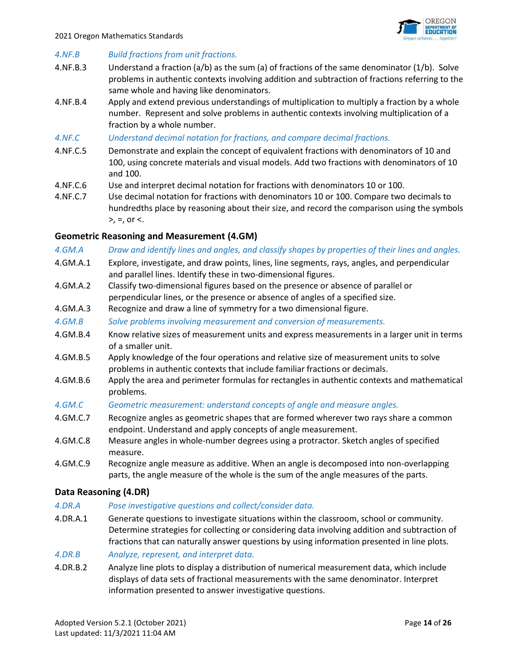

#### *4.NF.B Build fractions from unit fractions.*

- 4.NF.B.3 Understand a fraction (a/b) as the sum (a) of fractions of the same denominator (1/b). Solve problems in authentic contexts involving addition and subtraction of fractions referring to the same whole and having like denominators.
- 4.NF.B.4 Apply and extend previous understandings of multiplication to multiply a fraction by a whole number. Represent and solve problems in authentic contexts involving multiplication of a fraction by a whole number.
- *4.NF.C Understand decimal notation for fractions, and compare decimal fractions.*
- 4.NF.C.5 Demonstrate and explain the concept of equivalent fractions with denominators of 10 and 100, using concrete materials and visual models. Add two fractions with denominators of 10 and 100.
- 4.NF.C.6 Use and interpret decimal notation for fractions with denominators 10 or 100.
- 4.NF.C.7 Use decimal notation for fractions with denominators 10 or 100. Compare two decimals to hundredths place by reasoning about their size, and record the comparison using the symbols  $>$ ,  $=$ , or  $\lt$ .

#### **Geometric Reasoning and Measurement (4.GM)**

*4.GM.A Draw and identify lines and angles, and classify shapes by properties of their lines and angles.*

- 4.GM.A.1 Explore, investigate, and draw points, lines, line segments, rays, angles, and perpendicular and parallel lines. Identify these in two-dimensional figures.
- 4.GM.A.2 Classify two-dimensional figures based on the presence or absence of parallel or perpendicular lines, or the presence or absence of angles of a specified size.
- 4.GM.A.3 Recognize and draw a line of symmetry for a two dimensional figure.
- *4.GM.B Solve problems involving measurement and conversion of measurements.*
- 4.GM.B.4 Know relative sizes of measurement units and express measurements in a larger unit in terms of a smaller unit.
- 4.GM.B.5 Apply knowledge of the four operations and relative size of measurement units to solve problems in authentic contexts that include familiar fractions or decimals.
- 4.GM.B.6 Apply the area and perimeter formulas for rectangles in authentic contexts and mathematical problems.
- *4.GM.C Geometric measurement: understand concepts of angle and measure angles.*
- 4.GM.C.7 Recognize angles as geometric shapes that are formed wherever two rays share a common endpoint. Understand and apply concepts of angle measurement.
- 4.GM.C.8 Measure angles in whole-number degrees using a protractor. Sketch angles of specified measure.
- 4.GM.C.9 Recognize angle measure as additive. When an angle is decomposed into non-overlapping parts, the angle measure of the whole is the sum of the angle measures of the parts.

# **Data Reasoning (4.DR)**

- *4.DR.A Pose investigative questions and collect/consider data.*
- 4.DR.A.1 Generate questions to investigate situations within the classroom, school or community. Determine strategies for collecting or considering data involving addition and subtraction of fractions that can naturally answer questions by using information presented in line plots.
- *4.DR.B Analyze, represent, and interpret data.*
- 4.DR.B.2 Analyze line plots to display a distribution of numerical measurement data, which include displays of data sets of fractional measurements with the same denominator. Interpret information presented to answer investigative questions.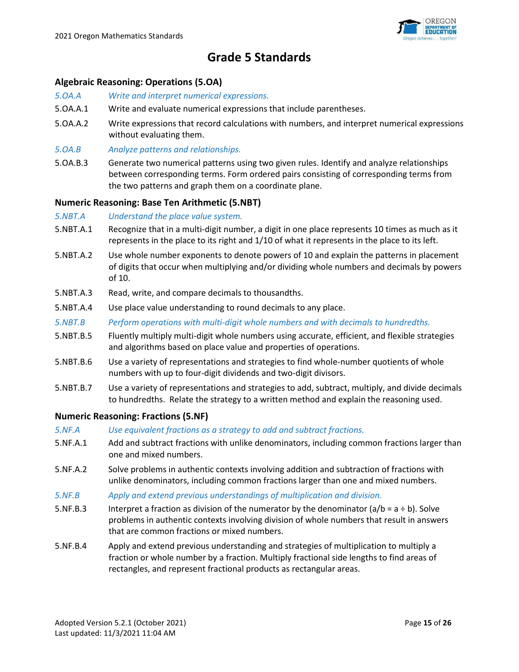

# **Grade 5 Standards**

# **Algebraic Reasoning: Operations (5.OA)**

- *5.OA.A Write and interpret numerical expressions.*
- 5.OA.A.1 Write and evaluate numerical expressions that include parentheses.
- 5.OA.A.2 Write expressions that record calculations with numbers, and interpret numerical expressions without evaluating them.
- *5.OA.B Analyze patterns and relationships.*
- 5.OA.B.3 Generate two numerical patterns using two given rules. Identify and analyze relationships between corresponding terms. Form ordered pairs consisting of corresponding terms from the two patterns and graph them on a coordinate plane.

# **Numeric Reasoning: Base Ten Arithmetic (5.NBT)**

#### *5.NBT.A Understand the place value system.*

- 5.NBT.A.1 Recognize that in a multi-digit number, a digit in one place represents 10 times as much as it represents in the place to its right and 1/10 of what it represents in the place to its left.
- 5.NBT.A.2 Use whole number exponents to denote powers of 10 and explain the patterns in placement of digits that occur when multiplying and/or dividing whole numbers and decimals by powers of 10.
- 5.NBT.A.3 Read, write, and compare decimals to thousandths.
- 5.NBT.A.4 Use place value understanding to round decimals to any place.
- *5.NBT.B Perform operations with multi-digit whole numbers and with decimals to hundredths.*
- 5.NBT.B.5 Fluently multiply multi-digit whole numbers using accurate, efficient, and flexible strategies and algorithms based on place value and properties of operations.
- 5.NBT.B.6 Use a variety of representations and strategies to find whole-number quotients of whole numbers with up to four-digit dividends and two-digit divisors.
- 5.NBT.B.7 Use a variety of representations and strategies to add, subtract, multiply, and divide decimals to hundredths. Relate the strategy to a written method and explain the reasoning used.

# **Numeric Reasoning: Fractions (5.NF)**

- *5.NF.A Use equivalent fractions as a strategy to add and subtract fractions.*
- 5.NF.A.1 Add and subtract fractions with unlike denominators, including common fractions larger than one and mixed numbers.
- 5.NF.A.2 Solve problems in authentic contexts involving addition and subtraction of fractions with unlike denominators, including common fractions larger than one and mixed numbers.
- *5.NF.B Apply and extend previous understandings of multiplication and division.*
- 5.NF.B.3 Interpret a fraction as division of the numerator by the denominator ( $a/b = a \div b$ ). Solve problems in authentic contexts involving division of whole numbers that result in answers that are common fractions or mixed numbers.
- 5.NF.B.4 Apply and extend previous understanding and strategies of multiplication to multiply a fraction or whole number by a fraction. Multiply fractional side lengths to find areas of rectangles, and represent fractional products as rectangular areas.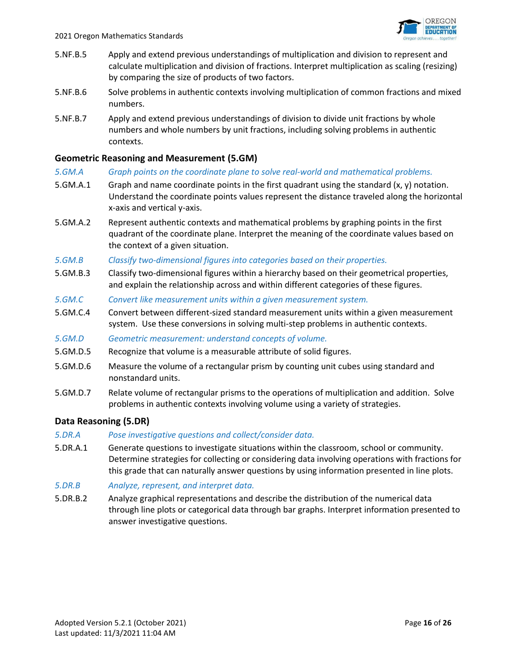

- 5.NF.B.5 Apply and extend previous understandings of multiplication and division to represent and calculate multiplication and division of fractions. Interpret multiplication as scaling (resizing) by comparing the size of products of two factors.
- 5.NF.B.6 Solve problems in authentic contexts involving multiplication of common fractions and mixed numbers.
- 5.NF.B.7 Apply and extend previous understandings of division to divide unit fractions by whole numbers and whole numbers by unit fractions, including solving problems in authentic contexts.

# **Geometric Reasoning and Measurement (5.GM)**

- *5.GM.A Graph points on the coordinate plane to solve real-world and mathematical problems.*
- 5.GM.A.1 Graph and name coordinate points in the first quadrant using the standard (x, y) notation. Understand the coordinate points values represent the distance traveled along the horizontal x-axis and vertical y-axis.
- 5.GM.A.2 Represent authentic contexts and mathematical problems by graphing points in the first quadrant of the coordinate plane. Interpret the meaning of the coordinate values based on the context of a given situation.
- *5.GM.B Classify two-dimensional figures into categories based on their properties.*
- 5.GM.B.3 Classify two-dimensional figures within a hierarchy based on their geometrical properties, and explain the relationship across and within different categories of these figures.
- *5.GM.C Convert like measurement units within a given measurement system.*
- 5.GM.C.4 Convert between different-sized standard measurement units within a given measurement system. Use these conversions in solving multi-step problems in authentic contexts.
- *5.GM.D Geometric measurement: understand concepts of volume.*
- 5.GM.D.5 Recognize that volume is a measurable attribute of solid figures.
- 5.GM.D.6 Measure the volume of a rectangular prism by counting unit cubes using standard and nonstandard units.
- 5.GM.D.7 Relate volume of rectangular prisms to the operations of multiplication and addition. Solve problems in authentic contexts involving volume using a variety of strategies.

# **Data Reasoning (5.DR)**

- *5.DR.A Pose investigative questions and collect/consider data.*
- 5.DR.A.1 Generate questions to investigate situations within the classroom, school or community. Determine strategies for collecting or considering data involving operations with fractions for this grade that can naturally answer questions by using information presented in line plots.
- *5.DR.B Analyze, represent, and interpret data.*
- 5.DR.B.2 Analyze graphical representations and describe the distribution of the numerical data through line plots or categorical data through bar graphs. Interpret information presented to answer investigative questions.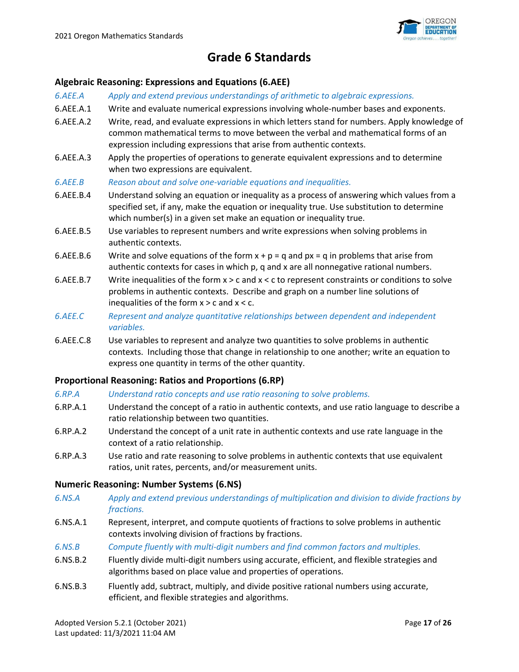

# **Grade 6 Standards**

# **Algebraic Reasoning: Expressions and Equations (6.AEE)**

- *6.AEE.A Apply and extend previous understandings of arithmetic to algebraic expressions.*
- 6.AEE.A.1 Write and evaluate numerical expressions involving whole-number bases and exponents.
- 6.AEE.A.2 Write, read, and evaluate expressions in which letters stand for numbers. Apply knowledge of common mathematical terms to move between the verbal and mathematical forms of an expression including expressions that arise from authentic contexts.
- 6.AEE.A.3 Apply the properties of operations to generate equivalent expressions and to determine when two expressions are equivalent.
- *6.AEE.B Reason about and solve one-variable equations and inequalities.*
- 6.AEE.B.4 Understand solving an equation or inequality as a process of answering which values from a specified set, if any, make the equation or inequality true. Use substitution to determine which number(s) in a given set make an equation or inequality true.
- 6.AEE.B.5 Use variables to represent numbers and write expressions when solving problems in authentic contexts.
- 6.AEE.B.6 Write and solve equations of the form  $x + p = q$  and  $px = q$  in problems that arise from authentic contexts for cases in which p, q and x are all nonnegative rational numbers.
- 6.AEE.B.7 Write inequalities of the form  $x > c$  and  $x < c$  to represent constraints or conditions to solve problems in authentic contexts. Describe and graph on a number line solutions of inequalities of the form  $x > c$  and  $x < c$ .
- *6.AEE.C Represent and analyze quantitative relationships between dependent and independent variables.*
- 6.AEE.C.8 Use variables to represent and analyze two quantities to solve problems in authentic contexts. Including those that change in relationship to one another; write an equation to express one quantity in terms of the other quantity.

# **Proportional Reasoning: Ratios and Proportions (6.RP)**

- *6.RP.A Understand ratio concepts and use ratio reasoning to solve problems.*
- 6.RP.A.1 Understand the concept of a ratio in authentic contexts, and use ratio language to describe a ratio relationship between two quantities.
- 6.RP.A.2 Understand the concept of a unit rate in authentic contexts and use rate language in the context of a ratio relationship.
- 6.RP.A.3 Use ratio and rate reasoning to solve problems in authentic contexts that use equivalent ratios, unit rates, percents, and/or measurement units.

# **Numeric Reasoning: Number Systems (6.NS)**

- *6.NS.A Apply and extend previous understandings of multiplication and division to divide fractions by fractions.*
- 6.NS.A.1 Represent, interpret, and compute quotients of fractions to solve problems in authentic contexts involving division of fractions by fractions.
- *6.NS.B Compute fluently with multi-digit numbers and find common factors and multiples.*
- 6.NS.B.2 Fluently divide multi-digit numbers using accurate, efficient, and flexible strategies and algorithms based on place value and properties of operations.
- 6.NS.B.3 Fluently add, subtract, multiply, and divide positive rational numbers using accurate, efficient, and flexible strategies and algorithms.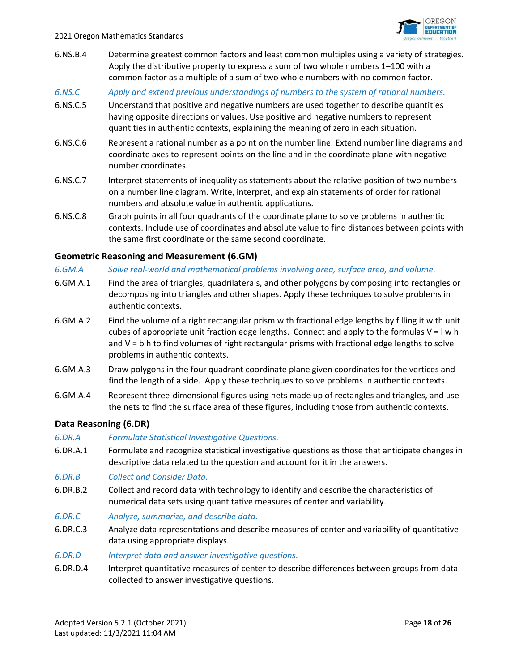

- 6.NS.B.4 Determine greatest common factors and least common multiples using a variety of strategies. Apply the distributive property to express a sum of two whole numbers 1–100 with a common factor as a multiple of a sum of two whole numbers with no common factor.
- *6.NS.C Apply and extend previous understandings of numbers to the system of rational numbers.*
- 6.NS.C.5 Understand that positive and negative numbers are used together to describe quantities having opposite directions or values. Use positive and negative numbers to represent quantities in authentic contexts, explaining the meaning of zero in each situation.
- 6.NS.C.6 Represent a rational number as a point on the number line. Extend number line diagrams and coordinate axes to represent points on the line and in the coordinate plane with negative number coordinates.
- 6.NS.C.7 Interpret statements of inequality as statements about the relative position of two numbers on a number line diagram. Write, interpret, and explain statements of order for rational numbers and absolute value in authentic applications.
- 6.NS.C.8 Graph points in all four quadrants of the coordinate plane to solve problems in authentic contexts. Include use of coordinates and absolute value to find distances between points with the same first coordinate or the same second coordinate.

# **Geometric Reasoning and Measurement (6.GM)**

- *6.GM.A Solve real-world and mathematical problems involving area, surface area, and volume.*
- 6.GM.A.1 Find the area of triangles, quadrilaterals, and other polygons by composing into rectangles or decomposing into triangles and other shapes. Apply these techniques to solve problems in authentic contexts.
- 6.GM.A.2 Find the volume of a right rectangular prism with fractional edge lengths by filling it with unit cubes of appropriate unit fraction edge lengths. Connect and apply to the formulas  $V = I w h$ and  $V = b$  h to find volumes of right rectangular prisms with fractional edge lengths to solve problems in authentic contexts.
- 6.GM.A.3 Draw polygons in the four quadrant coordinate plane given coordinates for the vertices and find the length of a side. Apply these techniques to solve problems in authentic contexts.
- 6.GM.A.4 Represent three-dimensional figures using nets made up of rectangles and triangles, and use the nets to find the surface area of these figures, including those from authentic contexts.

# **Data Reasoning (6.DR)**

- *6.DR.A Formulate Statistical Investigative Questions.*
- 6.DR.A.1 Formulate and recognize statistical investigative questions as those that anticipate changes in descriptive data related to the question and account for it in the answers.
- *6.DR.B Collect and Consider Data.*
- 6.DR.B.2 Collect and record data with technology to identify and describe the characteristics of numerical data sets using quantitative measures of center and variability.
- *6.DR.C Analyze, summarize, and describe data.*
- 6.DR.C.3 Analyze data representations and describe measures of center and variability of quantitative data using appropriate displays.
- *6.DR.D Interpret data and answer investigative questions.*
- 6.DR.D.4 Interpret quantitative measures of center to describe differences between groups from data collected to answer investigative questions.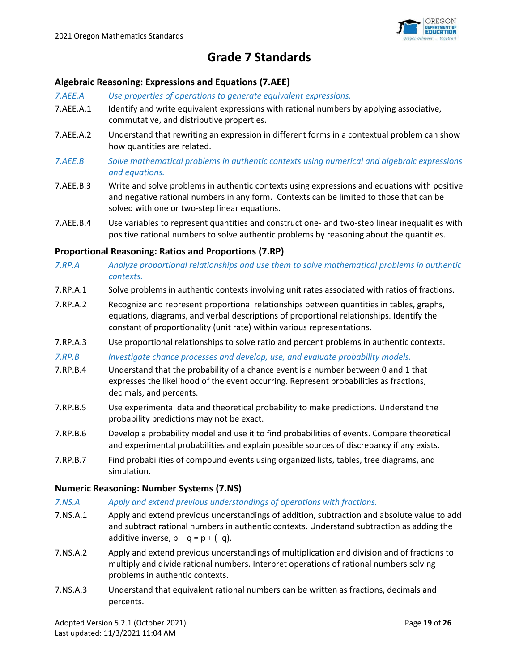

# **Grade 7 Standards**

# **Algebraic Reasoning: Expressions and Equations (7.AEE)**

- *7.AEE.A Use properties of operations to generate equivalent expressions.*
- 7. AEE. A.1 Identify and write equivalent expressions with rational numbers by applying associative, commutative, and distributive properties.
- 7.AEE.A.2 Understand that rewriting an expression in different forms in a contextual problem can show how quantities are related.
- *7.AEE.B Solve mathematical problems in authentic contexts using numerical and algebraic expressions and equations.*
- 7.AEE.B.3 Write and solve problems in authentic contexts using expressions and equations with positive and negative rational numbers in any form. Contexts can be limited to those that can be solved with one or two-step linear equations.
- 7.AEE.B.4 Use variables to represent quantities and construct one- and two-step linear inequalities with positive rational numbers to solve authentic problems by reasoning about the quantities.

# **Proportional Reasoning: Ratios and Proportions (7.RP)**

- *7.RP.A Analyze proportional relationships and use them to solve mathematical problems in authentic contexts.*
- 7.RP.A.1 Solve problems in authentic contexts involving unit rates associated with ratios of fractions.
- 7.RP.A.2 Recognize and represent proportional relationships between quantities in tables, graphs, equations, diagrams, and verbal descriptions of proportional relationships. Identify the constant of proportionality (unit rate) within various representations.
- 7.RP.A.3 Use proportional relationships to solve ratio and percent problems in authentic contexts.
- *7.RP.B Investigate chance processes and develop, use, and evaluate probability models.*
- 7.RP.B.4 Understand that the probability of a chance event is a number between 0 and 1 that expresses the likelihood of the event occurring. Represent probabilities as fractions, decimals, and percents.
- 7.RP.B.5 Use experimental data and theoretical probability to make predictions. Understand the probability predictions may not be exact.
- 7.RP.B.6 Develop a probability model and use it to find probabilities of events. Compare theoretical and experimental probabilities and explain possible sources of discrepancy if any exists.
- 7.RP.B.7 Find probabilities of compound events using organized lists, tables, tree diagrams, and simulation.

# **Numeric Reasoning: Number Systems (7.NS)**

- *7.NS.A Apply and extend previous understandings of operations with fractions.*
- 7.NS.A.1 Apply and extend previous understandings of addition, subtraction and absolute value to add and subtract rational numbers in authentic contexts. Understand subtraction as adding the additive inverse,  $p - q = p + (-q)$ .
- 7.NS.A.2 Apply and extend previous understandings of multiplication and division and of fractions to multiply and divide rational numbers. Interpret operations of rational numbers solving problems in authentic contexts.
- 7.NS.A.3 Understand that equivalent rational numbers can be written as fractions, decimals and percents.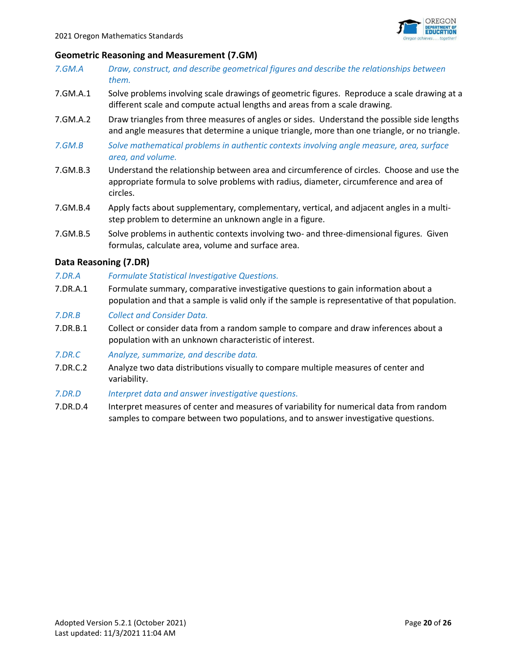

# **Geometric Reasoning and Measurement (7.GM)**

| 7.GM.A | Draw, construct, and describe geometrical figures and describe the relationships between |
|--------|------------------------------------------------------------------------------------------|
|        | them.                                                                                    |

- 7.GM.A.1 Solve problems involving scale drawings of geometric figures. Reproduce a scale drawing at a different scale and compute actual lengths and areas from a scale drawing.
- 7.GM.A.2 Draw triangles from three measures of angles or sides. Understand the possible side lengths and angle measures that determine a unique triangle, more than one triangle, or no triangle.
- *7.GM.B Solve mathematical problems in authentic contexts involving angle measure, area, surface area, and volume.*
- 7.GM.B.3 Understand the relationship between area and circumference of circles. Choose and use the appropriate formula to solve problems with radius, diameter, circumference and area of circles.
- 7.GM.B.4 Apply facts about supplementary, complementary, vertical, and adjacent angles in a multistep problem to determine an unknown angle in a figure.
- 7.GM.B.5 Solve problems in authentic contexts involving two- and three-dimensional figures. Given formulas, calculate area, volume and surface area.

# **Data Reasoning (7.DR)**

- *7.DR.A Formulate Statistical Investigative Questions.*
- 7.DR.A.1 Formulate summary, comparative investigative questions to gain information about a population and that a sample is valid only if the sample is representative of that population.
- *7.DR.B Collect and Consider Data.*
- 7.DR.B.1 Collect or consider data from a random sample to compare and draw inferences about a population with an unknown characteristic of interest.
- *7.DR.C Analyze, summarize, and describe data.*
- 7.DR.C.2 Analyze two data distributions visually to compare multiple measures of center and variability.
- *7.DR.D Interpret data and answer investigative questions.*
- 7.DR.D.4 Interpret measures of center and measures of variability for numerical data from random samples to compare between two populations, and to answer investigative questions.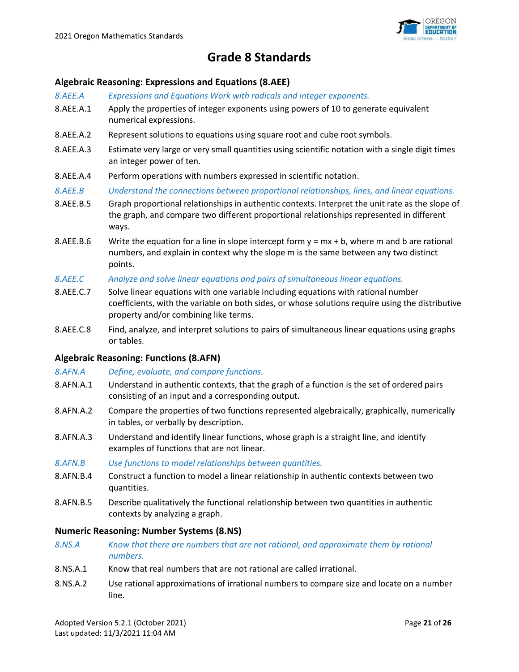

# **Grade 8 Standards**

# **Algebraic Reasoning: Expressions and Equations (8.AEE)**

- *8.AEE.A Expressions and Equations Work with radicals and integer exponents.*
- 8.AEE.A.1 Apply the properties of integer exponents using powers of 10 to generate equivalent numerical expressions.
- 8.AEE.A.2 Represent solutions to equations using square root and cube root symbols.
- 8.AEE.A.3 Estimate very large or very small quantities using scientific notation with a single digit times an integer power of ten.
- 8.AEE.A.4 Perform operations with numbers expressed in scientific notation.
- *8.AEE.B Understand the connections between proportional relationships, lines, and linear equations.*
- 8.AEE.B.5 Graph proportional relationships in authentic contexts. Interpret the unit rate as the slope of the graph, and compare two different proportional relationships represented in different ways.
- 8.AEE.B.6 Write the equation for a line in slope intercept form  $y = mx + b$ , where m and b are rational numbers, and explain in context why the slope m is the same between any two distinct points.
- *8.AEE.C Analyze and solve linear equations and pairs of simultaneous linear equations.*
- 8.AEE.C.7 Solve linear equations with one variable including equations with rational number coefficients, with the variable on both sides, or whose solutions require using the distributive property and/or combining like terms.
- 8.AEE.C.8 Find, analyze, and interpret solutions to pairs of simultaneous linear equations using graphs or tables.

# **Algebraic Reasoning: Functions (8.AFN)**

- *8.AFN.A Define, evaluate, and compare functions.*
- 8.AFN.A.1 Understand in authentic contexts, that the graph of a function is the set of ordered pairs consisting of an input and a corresponding output.
- 8.AFN.A.2 Compare the properties of two functions represented algebraically, graphically, numerically in tables, or verbally by description.
- 8.AFN.A.3 Understand and identify linear functions, whose graph is a straight line, and identify examples of functions that are not linear.
- *8.AFN.B Use functions to model relationships between quantities.*
- 8.AFN.B.4 Construct a function to model a linear relationship in authentic contexts between two quantities.
- 8.AFN.B.5 Describe qualitatively the functional relationship between two quantities in authentic contexts by analyzing a graph.

#### **Numeric Reasoning: Number Systems (8.NS)**

- *8.NS.A Know that there are numbers that are not rational, and approximate them by rational numbers.*
- 8.NS.A.1 Know that real numbers that are not rational are called irrational.
- 8.NS.A.2 Use rational approximations of irrational numbers to compare size and locate on a number line.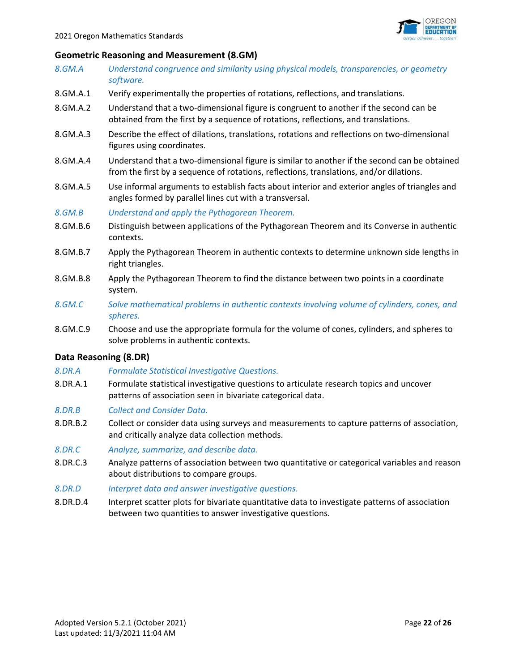

# **Geometric Reasoning and Measurement (8.GM)**

| 8.GM.A   | Understand congruence and similarity using physical models, transparencies, or geometry<br>software.                                                                                    |
|----------|-----------------------------------------------------------------------------------------------------------------------------------------------------------------------------------------|
| 8.GM.A.1 | Verify experimentally the properties of rotations, reflections, and translations.                                                                                                       |
| 8.GM.A.2 | Understand that a two-dimensional figure is congruent to another if the second can be<br>obtained from the first by a sequence of rotations, reflections, and translations.             |
| 8.GM.A.3 | Describe the effect of dilations, translations, rotations and reflections on two-dimensional<br>figures using coordinates.                                                              |
| 8.GM.A.4 | Understand that a two-dimensional figure is similar to another if the second can be obtained<br>from the first by a sequence of rotations, reflections, translations, and/or dilations. |
| 8.GM.A.5 | Use informal arguments to establish facts about interior and exterior angles of triangles and<br>angles formed by parallel lines cut with a transversal.                                |
| 8.GM.B   | Understand and apply the Pythagorean Theorem.                                                                                                                                           |
| 8.GM.B.6 | Distinguish between applications of the Pythagorean Theorem and its Converse in authentic<br>contexts.                                                                                  |

- 8.GM.B.7 Apply the Pythagorean Theorem in authentic contexts to determine unknown side lengths in right triangles.
- 8.GM.B.8 Apply the Pythagorean Theorem to find the distance between two points in a coordinate system.
- *8.GM.C Solve mathematical problems in authentic contexts involving volume of cylinders, cones, and spheres.*
- 8.GM.C.9 Choose and use the appropriate formula for the volume of cones, cylinders, and spheres to solve problems in authentic contexts.

# **Data Reasoning (8.DR)**

- *8.DR.A Formulate Statistical Investigative Questions.*
- 8.DR.A.1 Formulate statistical investigative questions to articulate research topics and uncover patterns of association seen in bivariate categorical data.
- *8.DR.B Collect and Consider Data.*
- 8.DR.B.2 Collect or consider data using surveys and measurements to capture patterns of association, and critically analyze data collection methods.
- *8.DR.C Analyze, summarize, and describe data.*
- 8.DR.C.3 Analyze patterns of association between two quantitative or categorical variables and reason about distributions to compare groups.
- *8.DR.D Interpret data and answer investigative questions.*
- 8.DR.D.4 Interpret scatter plots for bivariate quantitative data to investigate patterns of association between two quantities to answer investigative questions.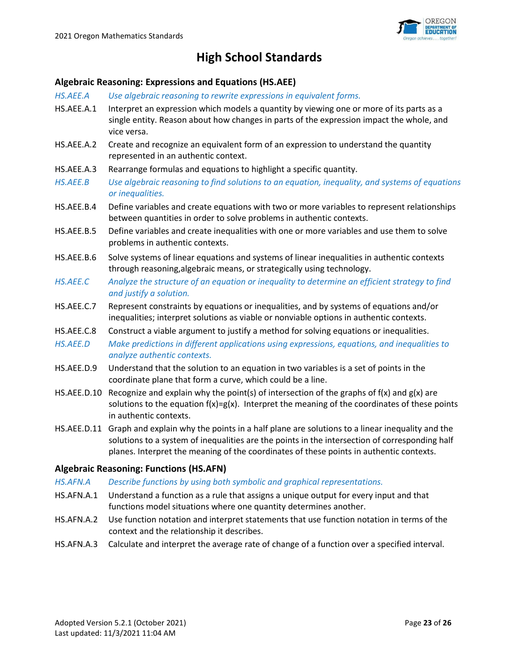

# **High School Standards**

# **Algebraic Reasoning: Expressions and Equations (HS.AEE)**

- *HS.AEE.A Use algebraic reasoning to rewrite expressions in equivalent forms.*
- HS.AEE.A.1 Interpret an expression which models a quantity by viewing one or more of its parts as a single entity. Reason about how changes in parts of the expression impact the whole, and vice versa.
- HS.AEE.A.2 Create and recognize an equivalent form of an expression to understand the quantity represented in an authentic context.
- HS.AEE.A.3 Rearrange formulas and equations to highlight a specific quantity.
- *HS.AEE.B Use algebraic reasoning to find solutions to an equation, inequality, and systems of equations or inequalities.*
- HS.AEE.B.4 Define variables and create equations with two or more variables to represent relationships between quantities in order to solve problems in authentic contexts.
- HS.AEE.B.5 Define variables and create inequalities with one or more variables and use them to solve problems in authentic contexts.
- HS.AEE.B.6 Solve systems of linear equations and systems of linear inequalities in authentic contexts through reasoning,algebraic means, or strategically using technology.
- *HS.AEE.C Analyze the structure of an equation or inequality to determine an efficient strategy to find and justify a solution.*
- HS.AEE.C.7 Represent constraints by equations or inequalities, and by systems of equations and/or inequalities; interpret solutions as viable or nonviable options in authentic contexts.
- HS.AEE.C.8 Construct a viable argument to justify a method for solving equations or inequalities.
- *HS.AEE.D Make predictions in different applications using expressions, equations, and inequalities to analyze authentic contexts.*
- HS.AEE.D.9 Understand that the solution to an equation in two variables is a set of points in the coordinate plane that form a curve, which could be a line.
- HS.AEE.D.10 Recognize and explain why the point(s) of intersection of the graphs of  $f(x)$  and  $g(x)$  are solutions to the equation  $f(x)=g(x)$ . Interpret the meaning of the coordinates of these points in authentic contexts.
- HS.AEE.D.11 Graph and explain why the points in a half plane are solutions to a linear inequality and the solutions to a system of inequalities are the points in the intersection of corresponding half planes. Interpret the meaning of the coordinates of these points in authentic contexts.

# **Algebraic Reasoning: Functions (HS.AFN)**

*HS.AFN.A Describe functions by using both symbolic and graphical representations.*

- HS.AFN.A.1 Understand a function as a rule that assigns a unique output for every input and that functions model situations where one quantity determines another.
- HS.AFN.A.2 Use function notation and interpret statements that use function notation in terms of the context and the relationship it describes.
- HS.AFN.A.3 Calculate and interpret the average rate of change of a function over a specified interval.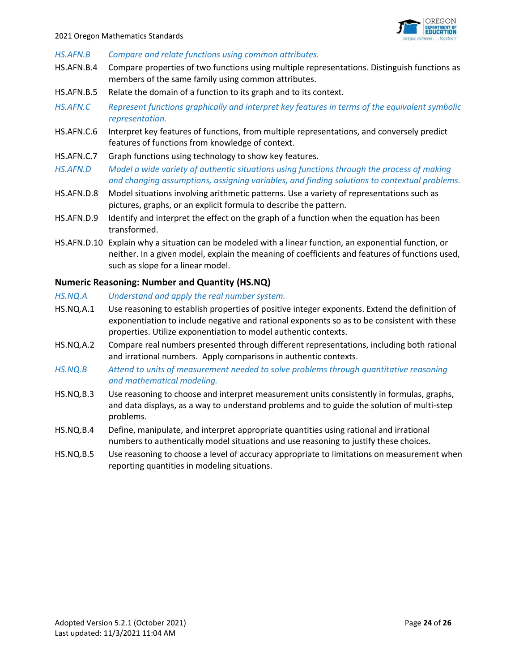

*HS.AFN.B Compare and relate functions using common attributes.*

- HS.AFN.B.4 Compare properties of two functions using multiple representations. Distinguish functions as members of the same family using common attributes.
- HS.AFN.B.5 Relate the domain of a function to its graph and to its context.
- *HS.AFN.C Represent functions graphically and interpret key features in terms of the equivalent symbolic representation.*
- HS.AFN.C.6 Interpret key features of functions, from multiple representations, and conversely predict features of functions from knowledge of context.
- HS.AFN.C.7 Graph functions using technology to show key features.
- *HS.AFN.D Model a wide variety of authentic situations using functions through the process of making and changing assumptions, assigning variables, and finding solutions to contextual problems.*
- HS.AFN.D.8 Model situations involving arithmetic patterns. Use a variety of representations such as pictures, graphs, or an explicit formula to describe the pattern.
- HS.AFN.D.9 Identify and interpret the effect on the graph of a function when the equation has been transformed.
- HS.AFN.D.10 Explain why a situation can be modeled with a linear function, an exponential function, or neither. In a given model, explain the meaning of coefficients and features of functions used, such as slope for a linear model.

#### **Numeric Reasoning: Number and Quantity (HS.NQ)**

- *HS.NQ.A Understand and apply the real number system.*
- HS.NQ.A.1 Use reasoning to establish properties of positive integer exponents. Extend the definition of exponentiation to include negative and rational exponents so as to be consistent with these properties. Utilize exponentiation to model authentic contexts.
- HS.NQ.A.2 Compare real numbers presented through different representations, including both rational and irrational numbers. Apply comparisons in authentic contexts.
- *HS.NQ.B Attend to units of measurement needed to solve problems through quantitative reasoning and mathematical modeling.*
- HS.NQ.B.3 Use reasoning to choose and interpret measurement units consistently in formulas, graphs, and data displays, as a way to understand problems and to guide the solution of multi-step problems.
- HS.NQ.B.4 Define, manipulate, and interpret appropriate quantities using rational and irrational numbers to authentically model situations and use reasoning to justify these choices.
- HS.NQ.B.5 Use reasoning to choose a level of accuracy appropriate to limitations on measurement when reporting quantities in modeling situations.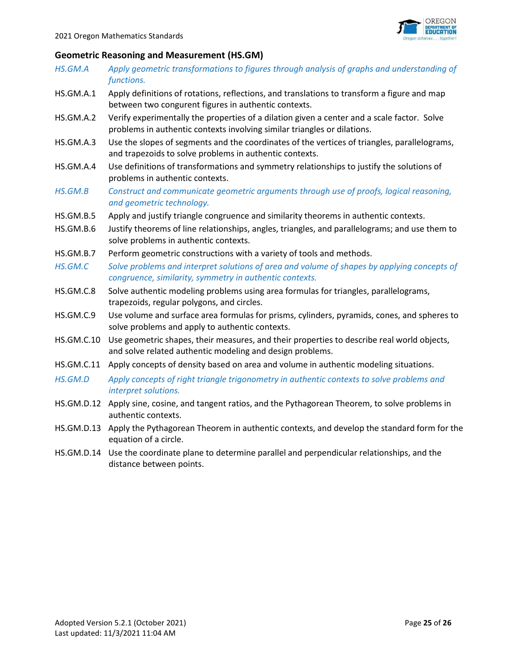

# **Geometric Reasoning and Measurement (HS.GM)**

|                   | Geometric Reasoning and Measurement (H3.Givi)                                                                                                                           |
|-------------------|-------------------------------------------------------------------------------------------------------------------------------------------------------------------------|
| HS.GM.A           | Apply geometric transformations to figures through analysis of graphs and understanding of<br>functions.                                                                |
| HS.GM.A.1         | Apply definitions of rotations, reflections, and translations to transform a figure and map<br>between two congurent figures in authentic contexts.                     |
| HS.GM.A.2         | Verify experimentally the properties of a dilation given a center and a scale factor. Solve<br>problems in authentic contexts involving similar triangles or dilations. |
| HS.GM.A.3         | Use the slopes of segments and the coordinates of the vertices of triangles, parallelograms,<br>and trapezoids to solve problems in authentic contexts.                 |
| HS.GM.A.4         | Use definitions of transformations and symmetry relationships to justify the solutions of<br>problems in authentic contexts.                                            |
| HS.GM.B           | Construct and communicate geometric arguments through use of proofs, logical reasoning,<br>and geometric technology.                                                    |
| HS.GM.B.5         | Apply and justify triangle congruence and similarity theorems in authentic contexts.                                                                                    |
| HS.GM.B.6         | Justify theorems of line relationships, angles, triangles, and parallelograms; and use them to<br>solve problems in authentic contexts.                                 |
| HS.GM.B.7         | Perform geometric constructions with a variety of tools and methods.                                                                                                    |
| HS.GM.C           | Solve problems and interpret solutions of area and volume of shapes by applying concepts of<br>congruence, similarity, symmetry in authentic contexts.                  |
| HS.GM.C.8         | Solve authentic modeling problems using area formulas for triangles, parallelograms,<br>trapezoids, regular polygons, and circles.                                      |
| HS.GM.C.9         | Use volume and surface area formulas for prisms, cylinders, pyramids, cones, and spheres to<br>solve problems and apply to authentic contexts.                          |
| <b>HS.GM.C.10</b> | Use geometric shapes, their measures, and their properties to describe real world objects,<br>and solve related authentic modeling and design problems.                 |
| <b>HS.GM.C.11</b> | Apply concepts of density based on area and volume in authentic modeling situations.                                                                                    |
| HS.GM.D           | Apply concepts of right triangle trigonometry in authentic contexts to solve problems and<br>interpret solutions.                                                       |
| <b>HS.GM.D.12</b> | Apply sine, cosine, and tangent ratios, and the Pythagorean Theorem, to solve problems in<br>authentic contexts.                                                        |

- HS.GM.D.13 Apply the Pythagorean Theorem in authentic contexts, and develop the standard form for the equation of a circle.
- HS.GM.D.14 Use the coordinate plane to determine parallel and perpendicular relationships, and the distance between points.